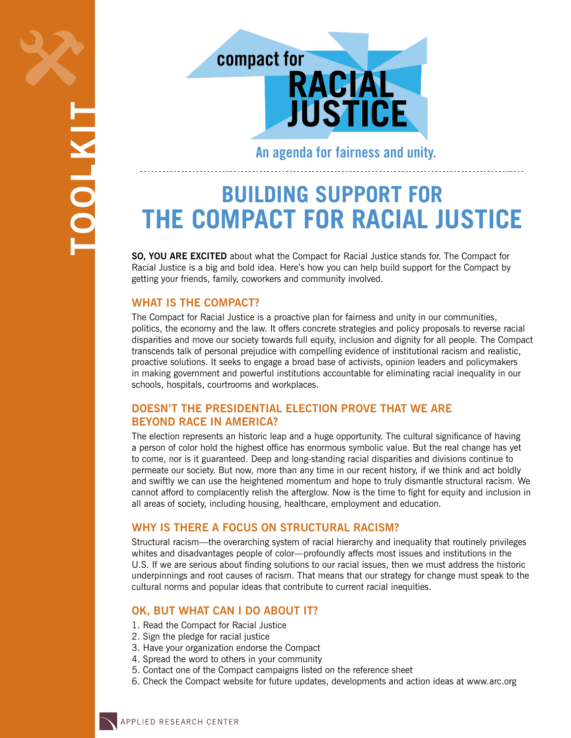



**An agenda for fairness and unity.**

# **Building Support for the Compact for Racial Justice**

**SO, YOU ARE EXCITED** about what the Compact for Racial Justice stands for. The Compact for Racial Justice is a big and bold idea. Here's how you can help build support for the Compact by getting your friends, family, coworkers and community involved.

# **What is the Compact?**

The Compact for Racial Justice is a proactive plan for fairness and unity in our communities, politics, the economy and the law. It offers concrete strategies and policy proposals to reverse racial disparities and move our society towards full equity, inclusion and dignity for all people. The Compact transcends talk of personal prejudice with compelling evidence of institutional racism and realistic, proactive solutions. It seeks to engage a broad base of activists, opinion leaders and policymakers in making government and powerful institutions accountable for eliminating racial inequality in our schools, hospitals, courtrooms and workplaces.

# **Doesn't the presidential election prove that we are beyond race in America?**

The election represents an historic leap and a huge opportunity. The cultural significance of having a person of color hold the highest office has enormous symbolic value. But the real change has yet to come, nor is it guaranteed. Deep and long-standing racial disparities and divisions continue to permeate our society. But now, more than any time in our recent history, if we think and act boldly and swiftly we can use the heightened momentum and hope to truly dismantle structural racism. We cannot afford to complacently relish the afterglow. Now is the time to fight for equity and inclusion in all areas of society, including housing, healthcare, employment and education.

# **Why is there a focus on structural racism?**

Structural racism—the overarching system of racial hierarchy and inequality that routinely privileges whites and disadvantages people of color—profoundly affects most issues and institutions in the U.S. If we are serious about finding solutions to our racial issues, then we must address the historic underpinnings and root causes of racism. That means that our strategy for change must speak to the cultural norms and popular ideas that contribute to current racial inequities.

# **OK, but what can I do about it?**

- 1. Read the Compact for Racial Justice
- 2. Sign the pledge for racial justice
- 3. Have your organization endorse the Compact
- 4. Spread the word to others in your community
- 5. Contact one of the Compact campaigns listed on the reference sheet
- 6. Check the Compact website for future updates, developments and action ideas at <www.arc.org>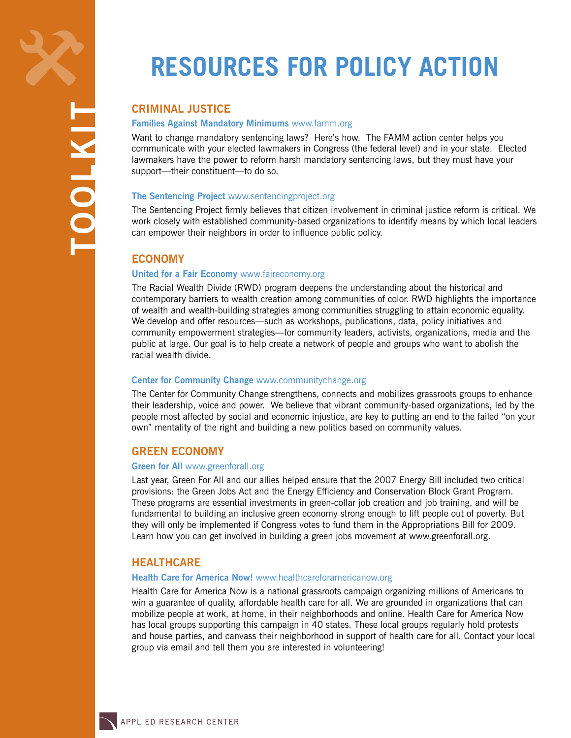**toolkit**

# **Resources for Policy Action**

# **Criminal Justice**

### **Families Against Mandatory Minimums** <www.famm.org>

Want to change mandatory sentencing laws? Here's how. The FAMM action center helps you communicate with your elected lawmakers in Congress (the federal level) and in your state. Elected lawmakers have the power to reform harsh mandatory sentencing laws, but they must have your support—their constituent—to do so.

#### **The Sentencing Project** <www.sentencingproject.org>

The Sentencing Project firmly believes that citizen involvement in criminal justice reform is critical. We work closely with established community-based organizations to identify means by which local leaders can empower their neighbors in order to influence public policy.

# **Economy**

### **United for a Fair Economy** <www.faireconomy.org>

The Racial Wealth Divide (RWD) program deepens the understanding about the historical and contemporary barriers to wealth creation among communities of color. RWD highlights the importance of wealth and wealth-building strategies among communities struggling to attain economic equality. We develop and offer resources—such as workshops, publications, data, policy initiatives and community empowerment strategies—for community leaders, activists, organizations, media and the public at large. Our goal is to help create a network of people and groups who want to abolish the racial wealth divide.

#### **Center for Community Change** <www.communitychange.org>

The Center for Community Change strengthens, connects and mobilizes grassroots groups to enhance their leadership, voice and power. We believe that vibrant community-based organizations, led by the people most affected by social and economic injustice, are key to putting an end to the failed "on your own" mentality of the right and building a new politics based on community values.

# **Green Economy**

#### **Green for All** <www.greenforall.org>

Last year, Green For All and our allies helped ensure that the 2007 Energy Bill included two critical provisions: the Green Jobs Act and the Energy Efficiency and Conservation Block Grant Program. These programs are essential investments in green-collar job creation and job training, and will be fundamental to building an inclusive green economy strong enough to lift people out of poverty. But they will only be implemented if Congress votes to fund them in the Appropriations Bill for 2009. Learn how you can get involved in building a green jobs movement at www.greenforall.org.

## **Healthcare**

#### **Health Care for America Now!** www.[healthcareforamericanow.org](www.healthcareforamericanow.org)

Health Care for America Now is a national grassroots campaign organizing millions of Americans to win a guarantee of quality, affordable health care for all. We are grounded in organizations that can mobilize people at work, at home, in their neighborhoods and online. Health Care for America Now has local groups supporting this campaign in 40 states. These local groups regularly hold protests and house parties, and canvass their neighborhood in support of health care for all. Contact your local group via email and tell them you are interested in volunteering!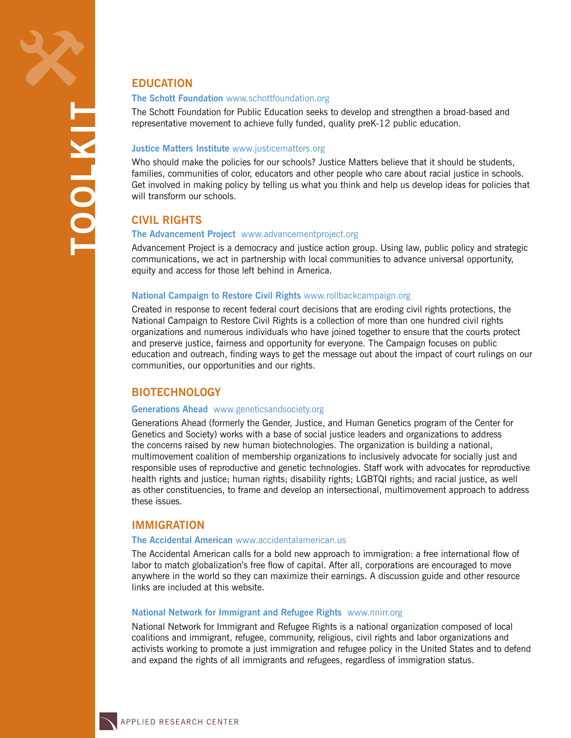# **Education**

#### **The Schott Foundation** <www.schottfoundation.org>

The Schott Foundation for Public Education seeks to develop and strengthen a broad-based and representative movement to achieve fully funded, quality preK-12 public education.

#### **Justice Matters Institute** <www.justicematters.org>

Who should make the policies for our schools? Justice Matters believe that it should be students, families, communities of color, educators and other people who care about racial justice in schools. Get involved in making policy by telling us what you think and help us develop ideas for policies that will transform our schools.

## **Civil Rights**

#### **The Advancement Project** <www.advancementproject.org>

Advancement Project is a democracy and justice action group. Using law, public policy and strategic communications, we act in partnership with local communities to advance universal opportunity, equity and access for those left behind in America.

#### **National Campaign to Restore Civil Rights** <www.rollbackcampaign.org>

Created in response to recent federal court decisions that are eroding civil rights protections, the National Campaign to Restore Civil Rights is a collection of more than one hundred civil rights organizations and numerous individuals who have joined together to ensure that the courts protect and preserve justice, fairness and opportunity for everyone. The Campaign focuses on public education and outreach, finding ways to get the message out about the impact of court rulings on our communities, our opportunities and our rights.

## **Biotechnology**

#### **Generations Ahead** <www.geneticsandsociety.org>

Generations Ahead (formerly the Gender, Justice, and Human Genetics program of the Center for Genetics and Society) works with a base of social justice leaders and organizations to address the concerns raised by new human biotechnologies. The organization is building a national, multimovement coalition of membership organizations to inclusively advocate for socially just and responsible uses of reproductive and genetic technologies. Staff work with advocates for reproductive health rights and justice; human rights; disability rights; LGBTQI rights; and racial justice, as well as other constituencies, to frame and develop an intersectional, multimovement approach to address these issues.

## **Immigration**

#### **The Accidental American** <www.accidentalamerican.us>

The Accidental American calls for a bold new approach to immigration: a free international flow of labor to match globalization's free flow of capital. After all, corporations are encouraged to move anywhere in the world so they can maximize their earnings. A discussion guide and other resource links are included at this website.

#### **National Network for Immigrant and Refugee Rights** <www.nnirr.org>

National Network for Immigrant and Refugee Rights is a national organization composed of local coalitions and immigrant, refugee, community, religious, civil rights and labor organizations and activists working to promote a just immigration and refugee policy in the United States and to defend and expand the rights of all immigrants and refugees, regardless of immigration status.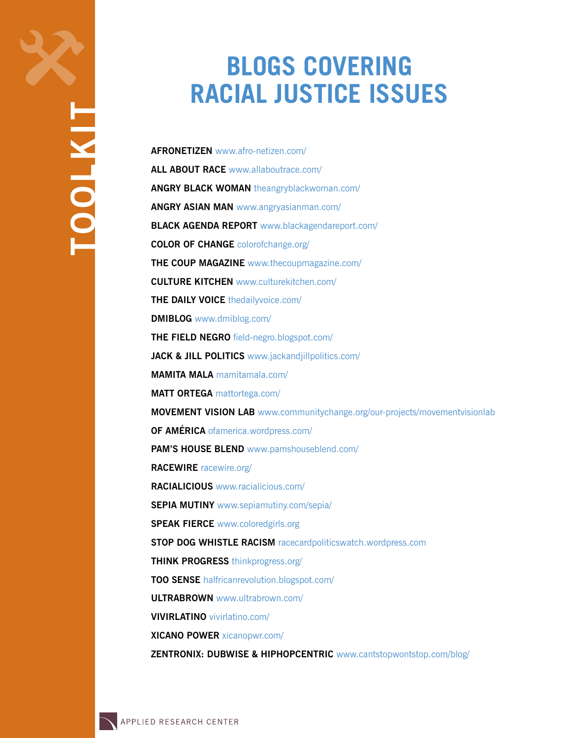# **Blogs Covering Racial Justice Issues**

**AfroNetizen** [www.afro-netizen.com/](http://www.afro-netizen.com/) **All About Race** [www.allaboutrace.com/](http://www.allaboutrace.com/) **Angry Black Woman** [theangryblackwoman.com/](http://theangryblackwoman.com/) **Angry Asian Man** [www.angryasianman.com/](http://www.angryasianman.com/) **Black Agenda Report** [www.blackagendareport.com/](http://www.blackagendareport.com/) **Color of Change** [colorofchange.org/](http://colorofchange.org/) **The Coup Magazine** [www.thecoupmagazine.com/](http://www.thecoupmagazine.com/) **Culture Kitchen** [www.culturekitchen.com/](http://www.culturekitchen.com/) **THE DAILY VOICE** [thedailyvoice.com/](http://thedailyvoice.com/) **DMIBlog** [www.dmiblog.com/](http://www.dmiblog.com/) **The Field Negro** [field-negro.blogspot.com/](http://field-negro.blogspot.com/) **Jack & Jill Politics** [www.jackandjillpolitics.com/](http://www.jackandjillpolitics.com/) **Mamita Mala** [mamitamala.com/](http://mamitamala.com/) **Matt Ortega** [mattortega.com/](http://mattortega.com/) **Movement Vision Lab** [www.communitychange.org/our-projects/movementvisionlab](http://www.communitychange.org/our-projects/movementvisionlab) **Of América** [ofamerica.wordpress.com/](http://ofamerica.wordpress.com/) **Pam's House Blend** [www.pamshouseblend.com/](http://www.pamshouseblend.com/) **RACEWIRE** [racewire.org/](http://racewire.org/) **Racialicious** [www.racialicious.com/](http://www.racialicious.com/) **SEPIA MUTINY** [www.sepiamutiny.com/sepia/](http://www.sepiamutiny.com/sepia/) **Speak Fierce** [www.coloredgirls.org](http://www.coloredgirls.org) **Stop Dog Whistle Racism** [racecardpoliticswatch.wordpress.com](http://racecardpoliticswatch.wordpress.com) **Think Progress** [thinkprogress.org/](http://thinkprogress.org/) **Too Sense** [halfricanrevolution.blogspot.com/](http://halfricanrevolution.blogspot.com/) **UltraBrown** [www.ultrabrown.com/](http://www.ultrabrown.com/) **VivirLatino** [vivirlatino.com/](http://vivirlatino.com/) **Xicano Power** [xicanopwr.com/](http://xicanopwr.com/) **Zentronix: dubwise & hiphopcentric** [www.cantstopwontstop.com/blog/](http://www.cantstopwontstop.com/blog/)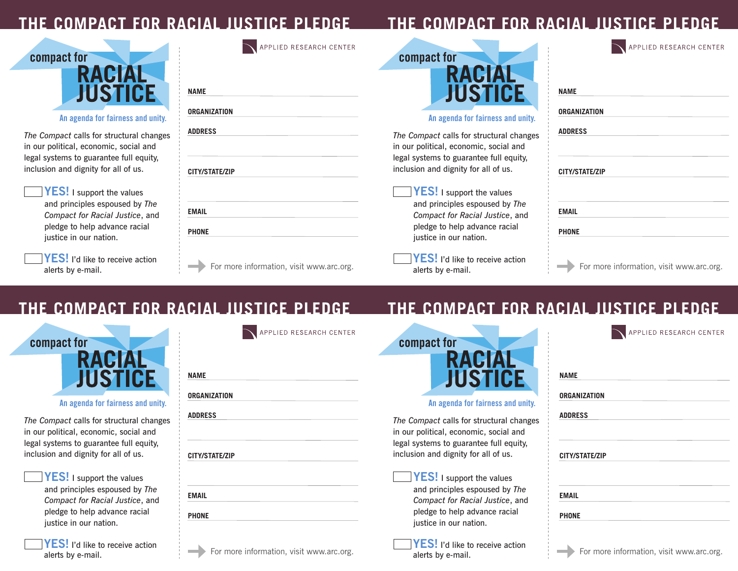# **THE RACIAL JUST**

# **The Compact for Racial Justice Pledge**

| compact for                       |            |
|-----------------------------------|------------|
| <b>RACIAL</b><br><b>JUSTICE</b>   | <b>NAM</b> |
| An agenda for fairness and unity. | ORG/       |

*The Compact* calls for structural changes in our political, economic, social and legal systems to guarantee full equity, inclusion and dignity for all of us.

| <b>IYES!</b> I support the values |
|-----------------------------------|
| and principles espoused by The    |
| Compact for Racial Justice, and   |
| pledge to help advance racial     |
| justice in our nation.            |

YES! I'd like to receive action alerts by e-mail.

|                       | APPLIED RESEARCH CENTER |                               |
|-----------------------|-------------------------|-------------------------------|
|                       |                         | compad                        |
| <b>NAME</b>           |                         |                               |
| <b>ORGANIZATION</b>   |                         |                               |
| <b>ADDRESS</b>        |                         | A<br>The Compa                |
|                       |                         | in our politi<br>legal syster |
| <b>CITY/STATE/ZIP</b> |                         | inclusion ar                  |
|                       |                         | <b>YES</b>                    |
| <b>EMAIL</b>          |                         | and p<br>Comp                 |
| <b>PHONE</b>          |                         | pledg<br>justic               |
|                       |                         | 13. F A                       |

For more information, visit www.arc.org.



#### **An agenda for fairness and unity.**

*<u>nct</u>* calls for structural changes ical, economic, social and ms to guarantee full equity, nd dignity for all of us.

**I** I support the values brinciples espoused by *The Compact for Racial Justice*, and e to help advance racial e in our nation.

**YES!** I'd like to receive action alerts by e-mail.

| <b>ORGANIZATION</b>   |  |
|-----------------------|--|
|                       |  |
| <b>ADDRESS</b>        |  |
|                       |  |
|                       |  |
| <b>CITY/STATE/ZIP</b> |  |
|                       |  |
|                       |  |
| <b>EMAIL</b>          |  |
|                       |  |
| <b>PHONE</b>          |  |

APPLIED RESEARCH CENTER

# **THE COMPACT FOR RACIAL JUSTICE**



**An agenda for fairness and unity.**

*The Compact* calls for structural changes in our political, economic, social and legal systems to guarantee full equity, inclusion and dignity for all of us.

> YES! I support the values and principles espoused by *The Compact for Racial Justice*, and pledge to help advance racial justice in our nation.

**YES!** I'd like to receive action alerts by e-mail.

| APPLIED RESEARCH CENTER                  | compact for                                                                                             |
|------------------------------------------|---------------------------------------------------------------------------------------------------------|
| <b>NAME</b>                              |                                                                                                         |
| <b>ORGANIZATION</b>                      | An agenda for                                                                                           |
| <b>ADDRESS</b><br><b>CITY/STATE/ZIP</b>  | The Compact calls for<br>in our political, econor<br>legal systems to guara<br>inclusion and dignity f  |
| <b>EMAIL</b><br><b>PHONE</b>             | <b>YES! I support</b><br>and principles es<br>Compact for Rac<br>pledge to help a<br>justice in our nat |
| For more information, visit www.arc.org. | $ {\sf YES}!$ I'd like to<br>alerts by e-mail.                                                          |

# **The Compact for Racial Justice Pledge**

| compact for                              |            |
|------------------------------------------|------------|
| <b>RACIA</b><br><b>JUSTICE</b>           | <b>NA</b>  |
| An agenda for fairness and unity.        | 0R         |
| The Compact calls for structural changes | <b>ADI</b> |

mic, social and intee full equity, for all of us.



*<u>D</u>* receive action

| <b>NAME</b>    |                       |  |  |
|----------------|-----------------------|--|--|
|                | <b>ORGANIZATION</b>   |  |  |
| <b>ADDRESS</b> |                       |  |  |
|                |                       |  |  |
|                | <b>CITY/STATE/ZIP</b> |  |  |
| <b>EMAIL</b>   |                       |  |  |
| <b>PHONE</b>   |                       |  |  |
|                |                       |  |  |

APPLIED RESEARCH CENTER

 $\overline{\phantom{0}}$